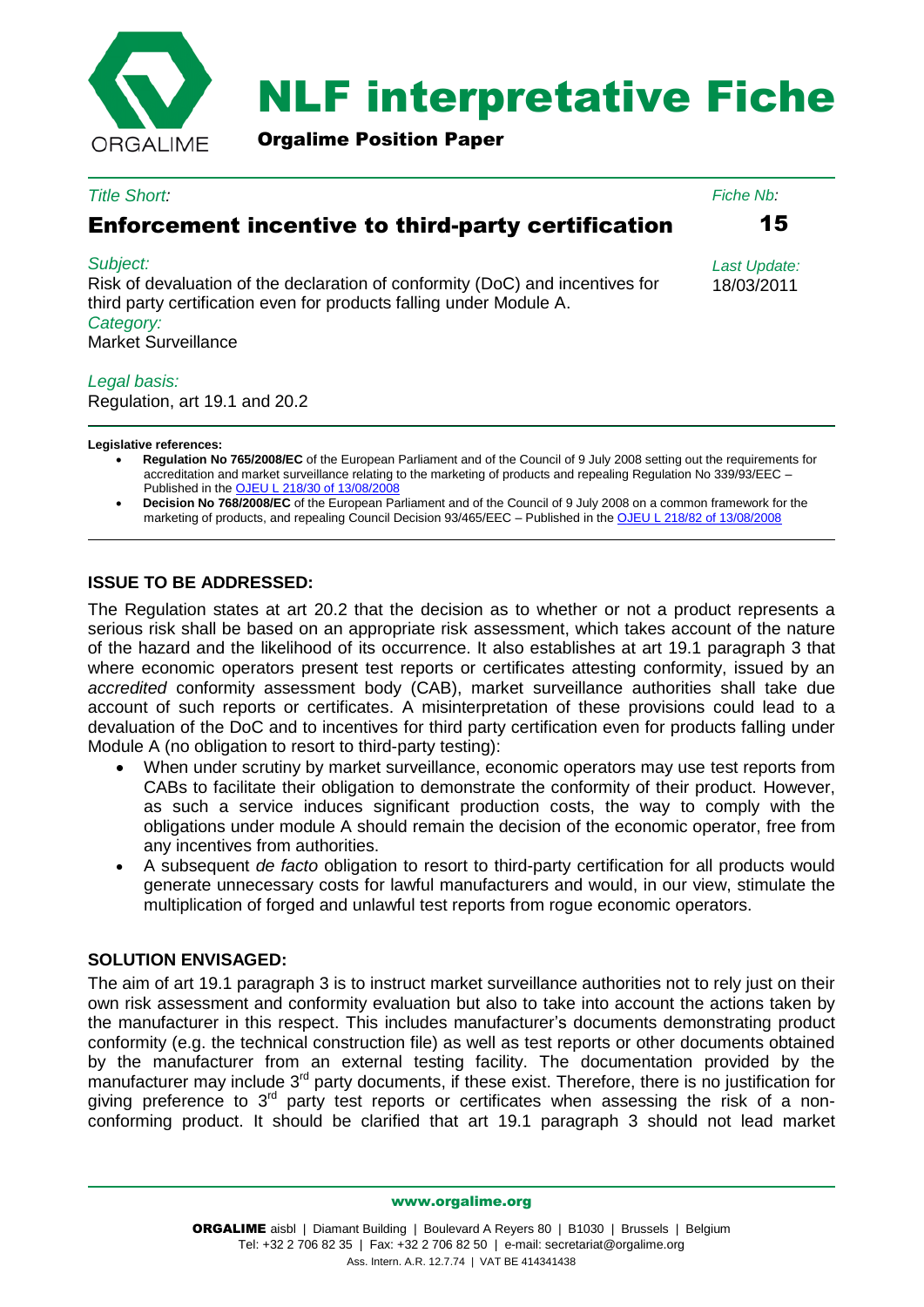

# NLF interpretative Fiche

Orgalime Position Paper

#### *Title Short:*

# Enforcement incentive to third-party certification

#### *Subject:*

Risk of devaluation of the declaration of conformity (DoC) and incentives for third party certification even for products falling under Module A. *Category:* Market Surveillance

#### *Legal basis:*

Regulation, art 19.1 and 20.2

**Legislative references:**

- **Regulation No 765/2008/EC** of the European Parliament and of the Council of 9 July 2008 setting out the requirements for accreditation and market surveillance relating to the marketing of products and repealing Regulation No 339/93/EEC – Published in the [OJEU L 218/30 of 13/08/2008](http://eur-lex.europa.eu/LexUriServ/LexUriServ.do?uri=OJ:L:2008:218:0030:0047:EN:PDF)
- **Decision No 768/2008/EC** of the European Parliament and of the Council of 9 July 2008 on a common framework for the marketing of products, and repealing Council Decision 93/465/EEC - Published in the [OJEU L 218/82 of 13/08/2008](http://eur-lex.europa.eu/LexUriServ/LexUriServ.do?uri=OJ:L:2008:218:0082:0128:EN:PDF)

## **ISSUE TO BE ADDRESSED:**

The Regulation states at art 20.2 that the decision as to whether or not a product represents a serious risk shall be based on an appropriate risk assessment, which takes account of the nature of the hazard and the likelihood of its occurrence. It also establishes at art 19.1 paragraph 3 that where economic operators present test reports or certificates attesting conformity, issued by an *accredited* conformity assessment body (CAB), market surveillance authorities shall take due account of such reports or certificates. A misinterpretation of these provisions could lead to a devaluation of the DoC and to incentives for third party certification even for products falling under Module A (no obligation to resort to third-party testing):

- When under scrutiny by market surveillance, economic operators may use test reports from CABs to facilitate their obligation to demonstrate the conformity of their product. However, as such a service induces significant production costs, the way to comply with the obligations under module A should remain the decision of the economic operator, free from any incentives from authorities.
- A subsequent *de facto* obligation to resort to third-party certification for all products would generate unnecessary costs for lawful manufacturers and would, in our view, stimulate the multiplication of forged and unlawful test reports from rogue economic operators.

## **SOLUTION ENVISAGED:**

The aim of art 19.1 paragraph 3 is to instruct market surveillance authorities not to rely just on their own risk assessment and conformity evaluation but also to take into account the actions taken by the manufacturer in this respect. This includes manufacturer's documents demonstrating product conformity (e.g. the technical construction file) as well as test reports or other documents obtained by the manufacturer from an external testing facility. The documentation provided by the manufacturer may include  $3<sup>rd</sup>$  party documents, if these exist. Therefore, there is no justification for giving preference to  $3<sup>rd</sup>$  party test reports or certificates when assessing the risk of a nonconforming product. It should be clarified that art 19.1 paragraph 3 should not lead market

www.orgalime.org

15

*Fiche Nb:*

*Last Update:* 18/03/2011